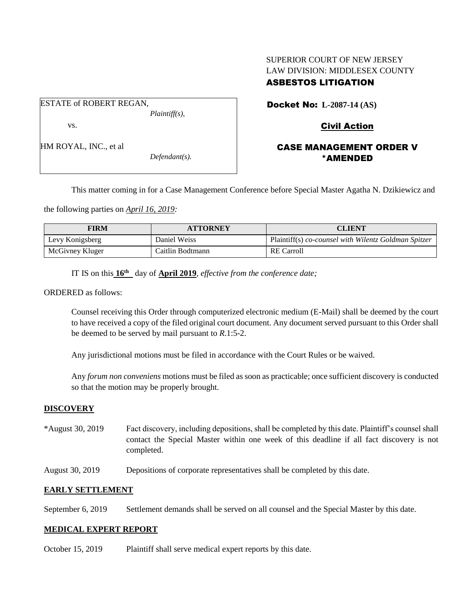# SUPERIOR COURT OF NEW JERSEY LAW DIVISION: MIDDLESEX COUNTY ASBESTOS LITIGATION

ESTATE of ROBERT REGAN, *Plaintiff(s),* vs.

HM ROYAL, INC., et al

*Defendant(s).*

Docket No: **L-2087-14 (AS)** 

# Civil Action

# CASE MANAGEMENT ORDER V \*AMENDED

This matter coming in for a Case Management Conference before Special Master Agatha N. Dzikiewicz and

the following parties on *April 16, 2019:*

| FIRM            | <b>ATTORNEY</b>  | CLIENT                                               |
|-----------------|------------------|------------------------------------------------------|
| Levy Konigsberg | Daniel Weiss     | Plaintiff(s) co-counsel with Wilentz Goldman Spitzer |
| McGivney Kluger | Caitlin Bodtmann | <b>RE</b> Carroll                                    |

IT IS on this **16th** day of **April 2019**, *effective from the conference date;*

ORDERED as follows:

Counsel receiving this Order through computerized electronic medium (E-Mail) shall be deemed by the court to have received a copy of the filed original court document. Any document served pursuant to this Order shall be deemed to be served by mail pursuant to *R*.1:5-2.

Any jurisdictional motions must be filed in accordance with the Court Rules or be waived.

Any *forum non conveniens* motions must be filed as soon as practicable; once sufficient discovery is conducted so that the motion may be properly brought.

## **DISCOVERY**

- \*August 30, 2019 Fact discovery, including depositions, shall be completed by this date. Plaintiff's counsel shall contact the Special Master within one week of this deadline if all fact discovery is not completed.
- August 30, 2019 Depositions of corporate representatives shall be completed by this date.

## **EARLY SETTLEMENT**

September 6, 2019 Settlement demands shall be served on all counsel and the Special Master by this date.

## **MEDICAL EXPERT REPORT**

October 15, 2019 Plaintiff shall serve medical expert reports by this date.